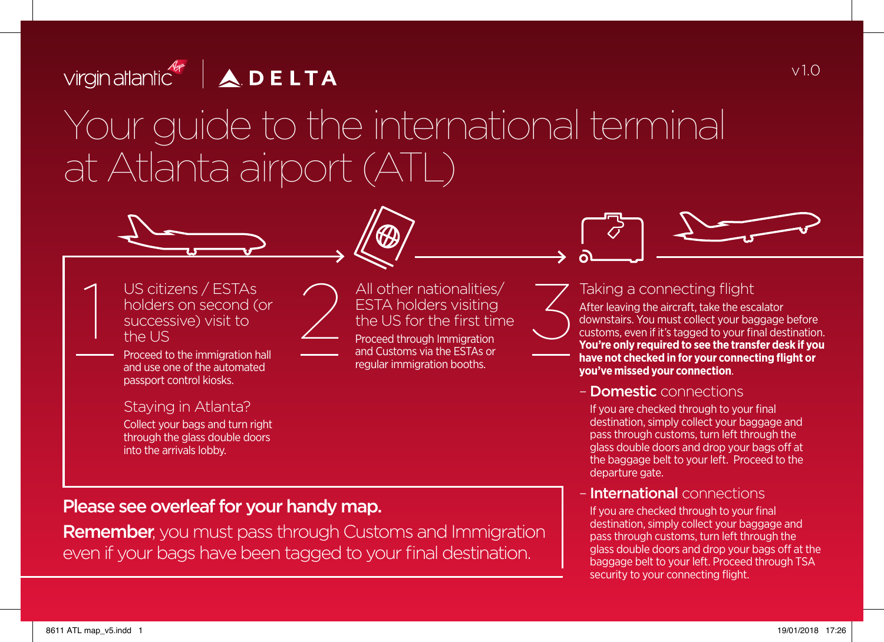



Proceed to the immigration hall and use one of the automated passport control kiosks.

#### Staying in Atlanta?

Collect your bags and turn right through the glass double doors into the arrivals lobby.

All other nationalities/<br>
ESTA holders visiting<br>
the US for the first time<br>
Proceed through Immigration<br>
and Customs via the ESTAs or ESTA holders visiting the US for the first time Proceed through Immigration and Customs via the ESTAs or regular immigration booths.



### Taking a connecting flight

After leaving the aircraft, take the escalator downstairs. You must collect your baggage before customs, even if it's tagged to your final destination. **You're only required to see the transfer desk if you have not checked in for your connecting flight or you've missed your connection**.

#### – Domestic connections

 If you are checked through to your final destination, simply collect your baggage and pass through customs, turn left through the glass double doors and drop your bags off at the baggage belt to your left. Proceed to the departure gate.

#### **International** connections

If you are checked through to your final destination, simply collect your baggage and pass through customs, turn left through the glass double doors and drop your bags off at the baggage belt to your left. Proceed through TSA security to your connecting flight.

## Please see overleaf for your handy map.

**Remember,** you must pass through Customs and Immigration even if your bags have been tagged to your final destination.